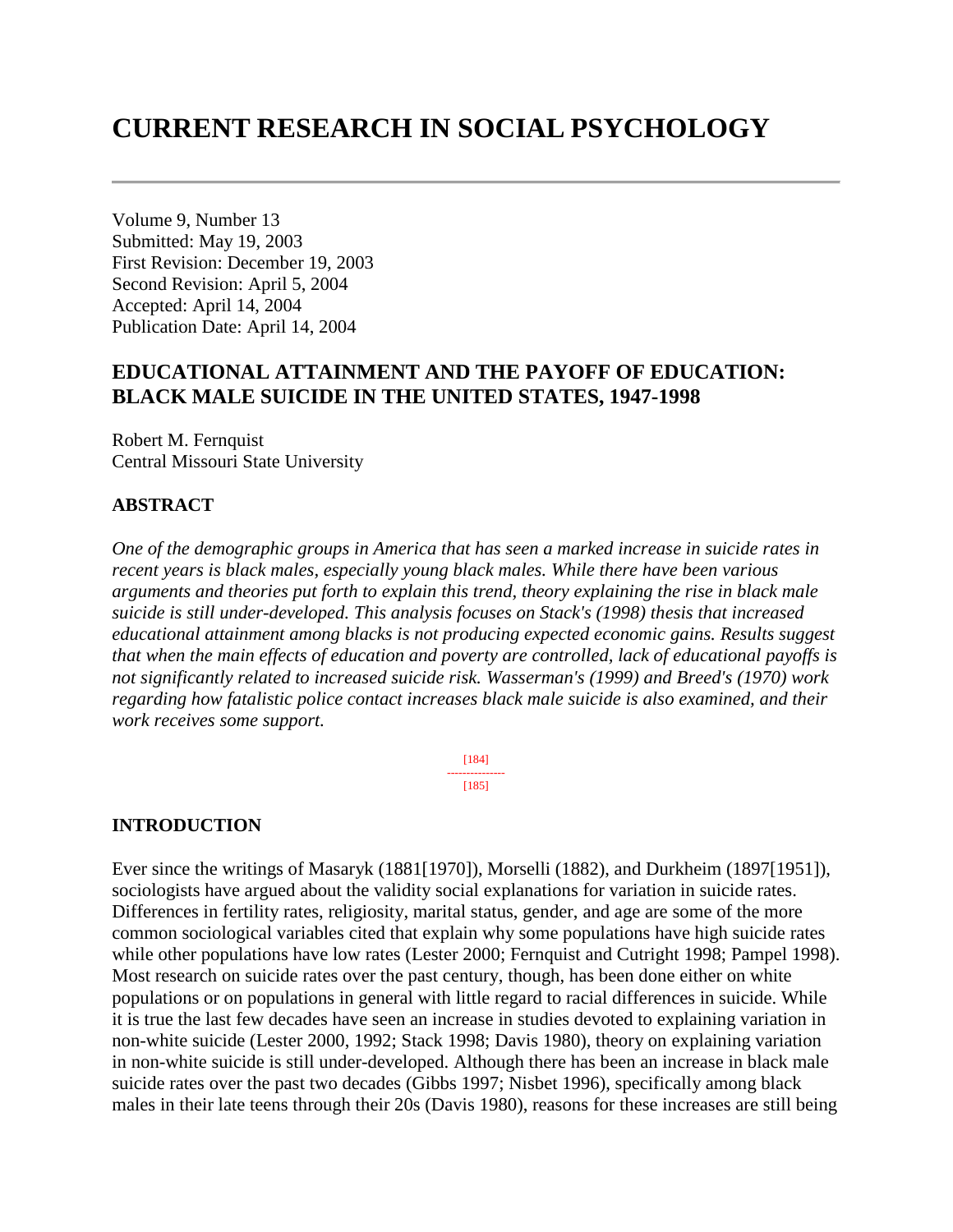# **CURRENT RESEARCH IN SOCIAL PSYCHOLOGY**

Volume 9, Number 13 Submitted: May 19, 2003 First Revision: December 19, 2003 Second Revision: April 5, 2004 Accepted: April 14, 2004 Publication Date: April 14, 2004

# **EDUCATIONAL ATTAINMENT AND THE PAYOFF OF EDUCATION: BLACK MALE SUICIDE IN THE UNITED STATES, 1947-1998**

Robert M. Fernquist Central Missouri State University

### **ABSTRACT**

*One of the demographic groups in America that has seen a marked increase in suicide rates in recent years is black males, especially young black males. While there have been various arguments and theories put forth to explain this trend, theory explaining the rise in black male suicide is still under-developed. This analysis focuses on Stack's (1998) thesis that increased educational attainment among blacks is not producing expected economic gains. Results suggest that when the main effects of education and poverty are controlled, lack of educational payoffs is not significantly related to increased suicide risk. Wasserman's (1999) and Breed's (1970) work regarding how fatalistic police contact increases black male suicide is also examined, and their work receives some support.*

> [184] --------------- [185]

### **INTRODUCTION**

Ever since the writings of Masaryk (1881[1970]), Morselli (1882), and Durkheim (1897[1951]), sociologists have argued about the validity social explanations for variation in suicide rates. Differences in fertility rates, religiosity, marital status, gender, and age are some of the more common sociological variables cited that explain why some populations have high suicide rates while other populations have low rates (Lester 2000; Fernquist and Cutright 1998; Pampel 1998). Most research on suicide rates over the past century, though, has been done either on white populations or on populations in general with little regard to racial differences in suicide. While it is true the last few decades have seen an increase in studies devoted to explaining variation in non-white suicide (Lester 2000, 1992; Stack 1998; Davis 1980), theory on explaining variation in non-white suicide is still under-developed. Although there has been an increase in black male suicide rates over the past two decades (Gibbs 1997; Nisbet 1996), specifically among black males in their late teens through their 20s (Davis 1980), reasons for these increases are still being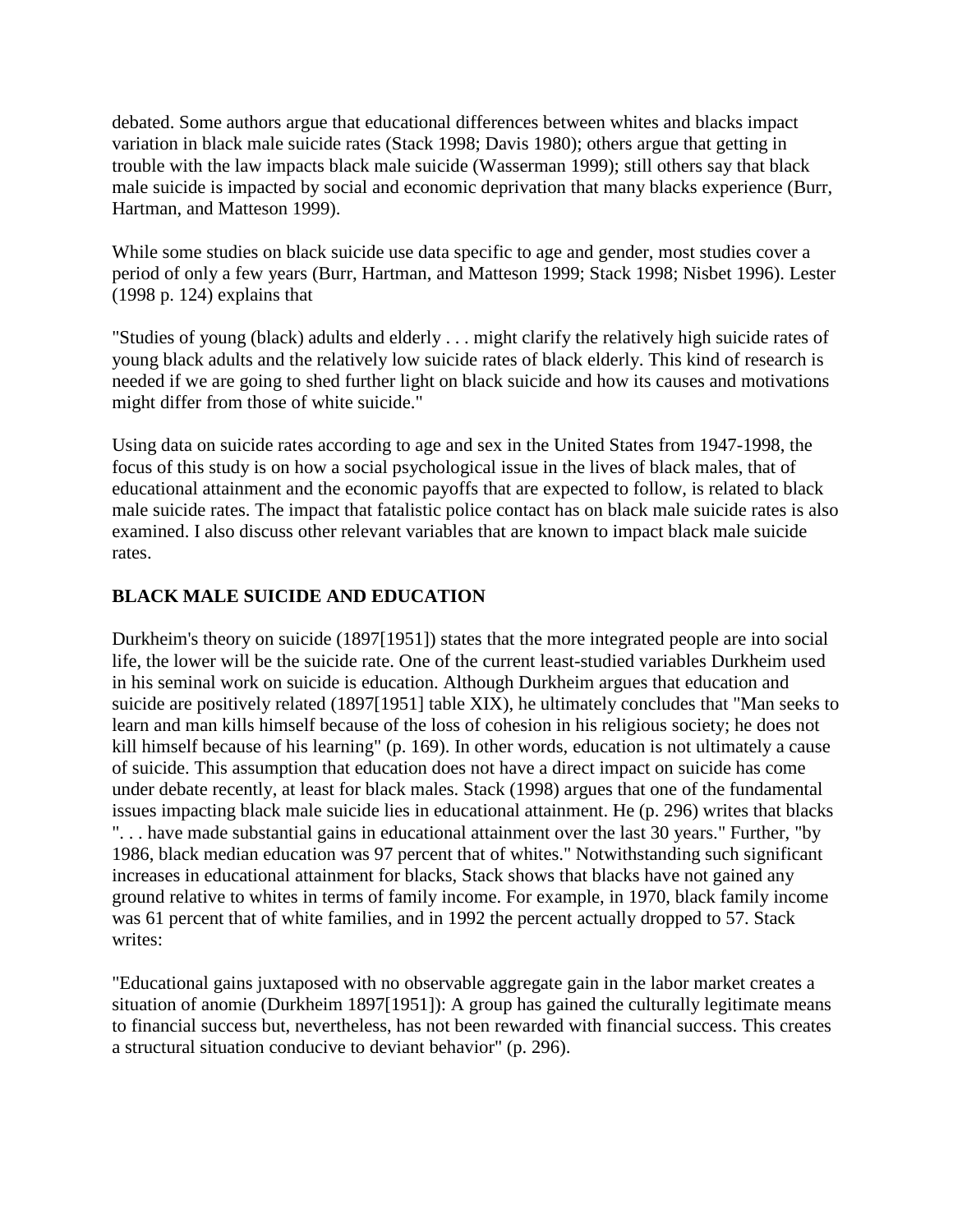debated. Some authors argue that educational differences between whites and blacks impact variation in black male suicide rates (Stack 1998; Davis 1980); others argue that getting in trouble with the law impacts black male suicide (Wasserman 1999); still others say that black male suicide is impacted by social and economic deprivation that many blacks experience (Burr, Hartman, and Matteson 1999).

While some studies on black suicide use data specific to age and gender, most studies cover a period of only a few years (Burr, Hartman, and Matteson 1999; Stack 1998; Nisbet 1996). Lester (1998 p. 124) explains that

"Studies of young (black) adults and elderly . . . might clarify the relatively high suicide rates of young black adults and the relatively low suicide rates of black elderly. This kind of research is needed if we are going to shed further light on black suicide and how its causes and motivations might differ from those of white suicide."

Using data on suicide rates according to age and sex in the United States from 1947-1998, the focus of this study is on how a social psychological issue in the lives of black males, that of educational attainment and the economic payoffs that are expected to follow, is related to black male suicide rates. The impact that fatalistic police contact has on black male suicide rates is also examined. I also discuss other relevant variables that are known to impact black male suicide rates.

# **BLACK MALE SUICIDE AND EDUCATION**

Durkheim's theory on suicide (1897[1951]) states that the more integrated people are into social life, the lower will be the suicide rate. One of the current least-studied variables Durkheim used in his seminal work on suicide is education. Although Durkheim argues that education and suicide are positively related (1897[1951] table XIX), he ultimately concludes that "Man seeks to learn and man kills himself because of the loss of cohesion in his religious society; he does not kill himself because of his learning" (p. 169). In other words, education is not ultimately a cause of suicide. This assumption that education does not have a direct impact on suicide has come under debate recently, at least for black males. Stack (1998) argues that one of the fundamental issues impacting black male suicide lies in educational attainment. He (p. 296) writes that blacks ". . . have made substantial gains in educational attainment over the last 30 years." Further, "by 1986, black median education was 97 percent that of whites." Notwithstanding such significant increases in educational attainment for blacks, Stack shows that blacks have not gained any ground relative to whites in terms of family income. For example, in 1970, black family income was 61 percent that of white families, and in 1992 the percent actually dropped to 57. Stack writes:

"Educational gains juxtaposed with no observable aggregate gain in the labor market creates a situation of anomie (Durkheim 1897[1951]): A group has gained the culturally legitimate means to financial success but, nevertheless, has not been rewarded with financial success. This creates a structural situation conducive to deviant behavior" (p. 296).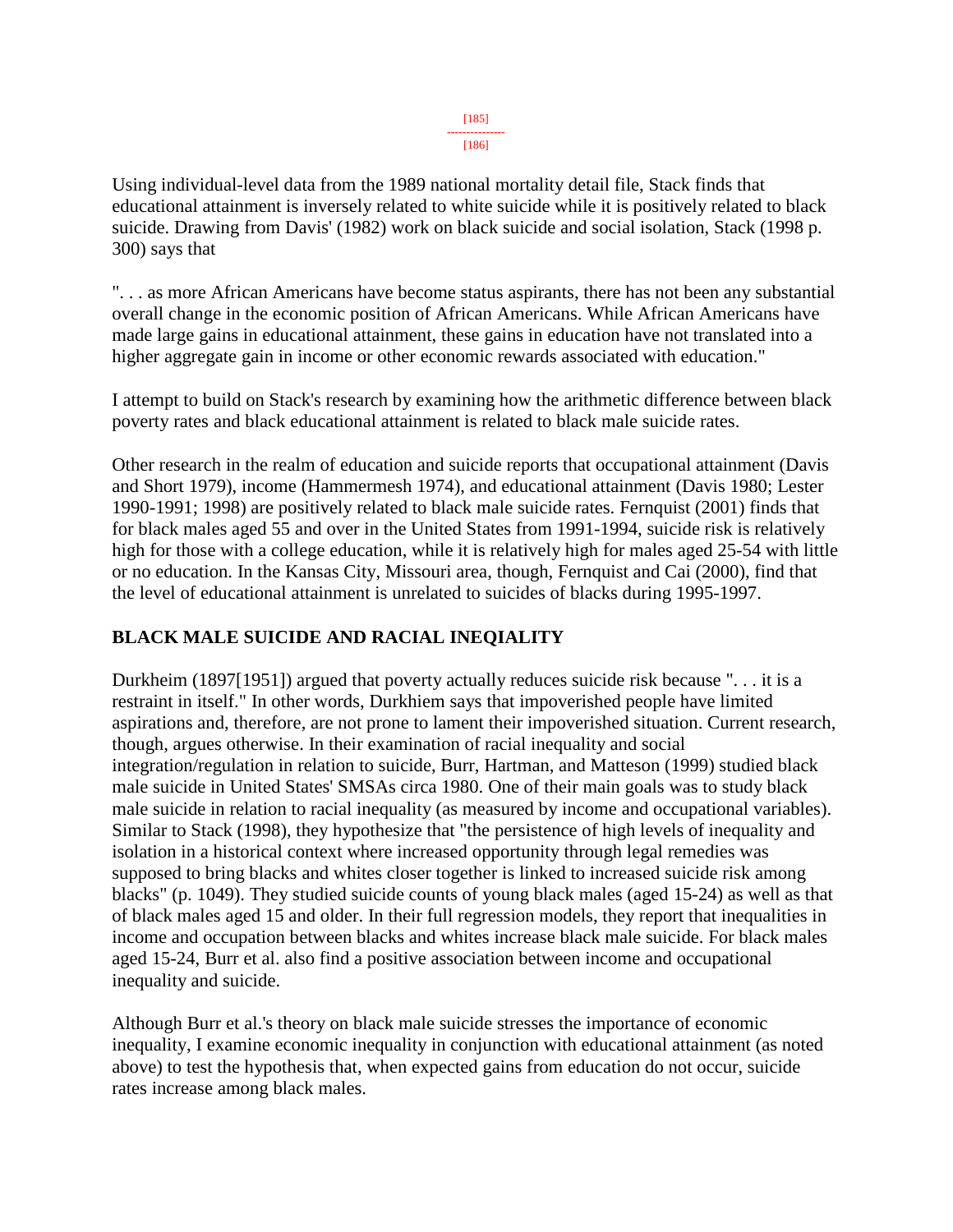#### [185] ---------------

#### [186]

Using individual-level data from the 1989 national mortality detail file, Stack finds that educational attainment is inversely related to white suicide while it is positively related to black suicide. Drawing from Davis' (1982) work on black suicide and social isolation, Stack (1998 p. 300) says that

". . . as more African Americans have become status aspirants, there has not been any substantial overall change in the economic position of African Americans. While African Americans have made large gains in educational attainment, these gains in education have not translated into a higher aggregate gain in income or other economic rewards associated with education."

I attempt to build on Stack's research by examining how the arithmetic difference between black poverty rates and black educational attainment is related to black male suicide rates.

Other research in the realm of education and suicide reports that occupational attainment (Davis and Short 1979), income (Hammermesh 1974), and educational attainment (Davis 1980; Lester 1990-1991; 1998) are positively related to black male suicide rates. Fernquist (2001) finds that for black males aged 55 and over in the United States from 1991-1994, suicide risk is relatively high for those with a college education, while it is relatively high for males aged 25-54 with little or no education. In the Kansas City, Missouri area, though, Fernquist and Cai (2000), find that the level of educational attainment is unrelated to suicides of blacks during 1995-1997.

# **BLACK MALE SUICIDE AND RACIAL INEQIALITY**

Durkheim (1897[1951]) argued that poverty actually reduces suicide risk because ". . . it is a restraint in itself." In other words, Durkhiem says that impoverished people have limited aspirations and, therefore, are not prone to lament their impoverished situation. Current research, though, argues otherwise. In their examination of racial inequality and social integration/regulation in relation to suicide, Burr, Hartman, and Matteson (1999) studied black male suicide in United States' SMSAs circa 1980. One of their main goals was to study black male suicide in relation to racial inequality (as measured by income and occupational variables). Similar to Stack (1998), they hypothesize that "the persistence of high levels of inequality and isolation in a historical context where increased opportunity through legal remedies was supposed to bring blacks and whites closer together is linked to increased suicide risk among blacks" (p. 1049). They studied suicide counts of young black males (aged 15-24) as well as that of black males aged 15 and older. In their full regression models, they report that inequalities in income and occupation between blacks and whites increase black male suicide. For black males aged 15-24, Burr et al. also find a positive association between income and occupational inequality and suicide.

Although Burr et al.'s theory on black male suicide stresses the importance of economic inequality, I examine economic inequality in conjunction with educational attainment (as noted above) to test the hypothesis that, when expected gains from education do not occur, suicide rates increase among black males.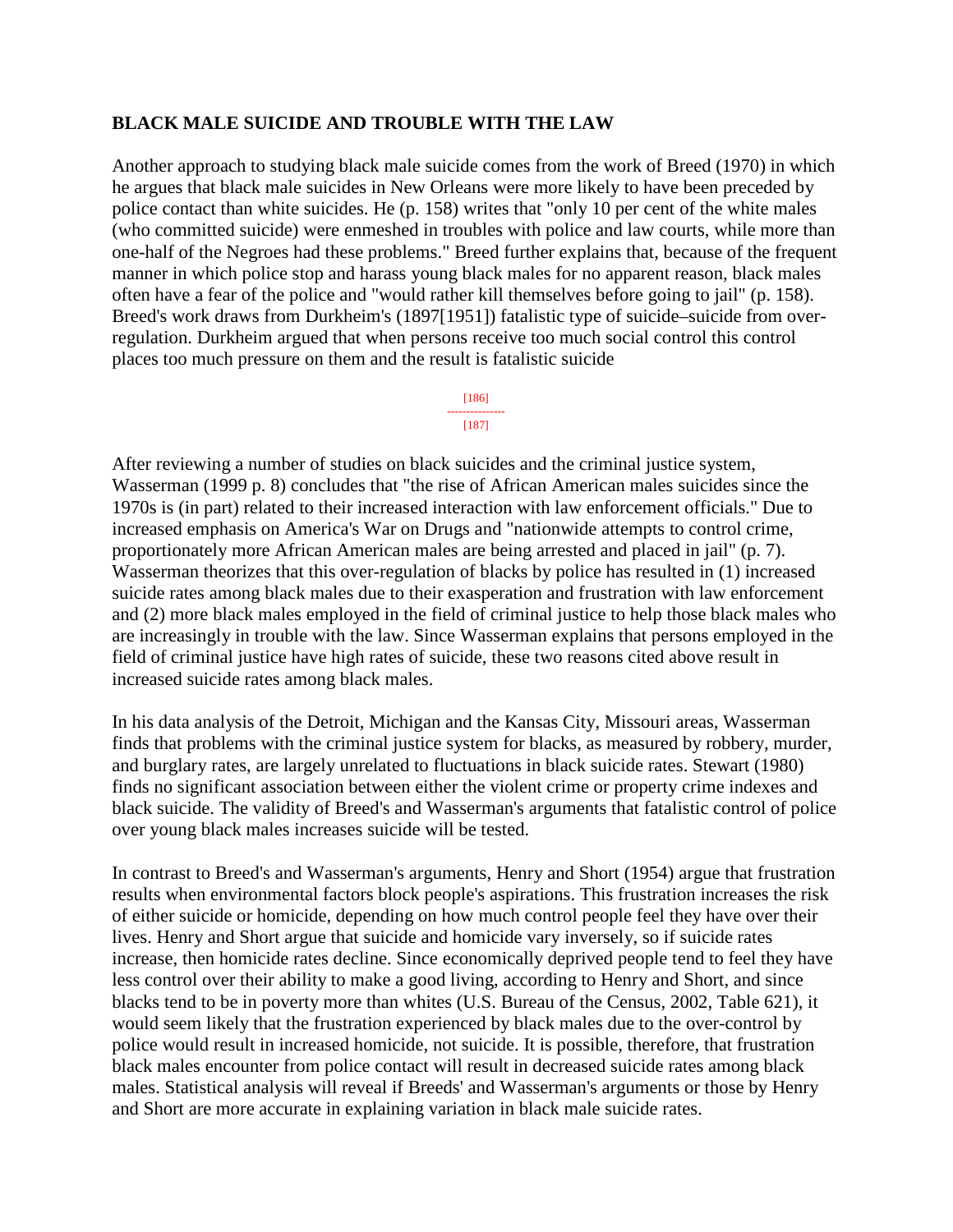### **BLACK MALE SUICIDE AND TROUBLE WITH THE LAW**

Another approach to studying black male suicide comes from the work of Breed (1970) in which he argues that black male suicides in New Orleans were more likely to have been preceded by police contact than white suicides. He (p. 158) writes that "only 10 per cent of the white males (who committed suicide) were enmeshed in troubles with police and law courts, while more than one-half of the Negroes had these problems." Breed further explains that, because of the frequent manner in which police stop and harass young black males for no apparent reason, black males often have a fear of the police and "would rather kill themselves before going to jail" (p. 158). Breed's work draws from Durkheim's (1897[1951]) fatalistic type of suicide–suicide from overregulation. Durkheim argued that when persons receive too much social control this control places too much pressure on them and the result is fatalistic suicide

#### [186] ---------------

#### [187]

After reviewing a number of studies on black suicides and the criminal justice system, Wasserman (1999 p. 8) concludes that "the rise of African American males suicides since the 1970s is (in part) related to their increased interaction with law enforcement officials." Due to increased emphasis on America's War on Drugs and "nationwide attempts to control crime, proportionately more African American males are being arrested and placed in jail" (p. 7). Wasserman theorizes that this over-regulation of blacks by police has resulted in (1) increased suicide rates among black males due to their exasperation and frustration with law enforcement and (2) more black males employed in the field of criminal justice to help those black males who are increasingly in trouble with the law. Since Wasserman explains that persons employed in the field of criminal justice have high rates of suicide, these two reasons cited above result in increased suicide rates among black males.

In his data analysis of the Detroit, Michigan and the Kansas City, Missouri areas, Wasserman finds that problems with the criminal justice system for blacks, as measured by robbery, murder, and burglary rates, are largely unrelated to fluctuations in black suicide rates. Stewart (1980) finds no significant association between either the violent crime or property crime indexes and black suicide. The validity of Breed's and Wasserman's arguments that fatalistic control of police over young black males increases suicide will be tested.

In contrast to Breed's and Wasserman's arguments, Henry and Short (1954) argue that frustration results when environmental factors block people's aspirations. This frustration increases the risk of either suicide or homicide, depending on how much control people feel they have over their lives. Henry and Short argue that suicide and homicide vary inversely, so if suicide rates increase, then homicide rates decline. Since economically deprived people tend to feel they have less control over their ability to make a good living, according to Henry and Short, and since blacks tend to be in poverty more than whites (U.S. Bureau of the Census, 2002, Table 621), it would seem likely that the frustration experienced by black males due to the over-control by police would result in increased homicide, not suicide. It is possible, therefore, that frustration black males encounter from police contact will result in decreased suicide rates among black males. Statistical analysis will reveal if Breeds' and Wasserman's arguments or those by Henry and Short are more accurate in explaining variation in black male suicide rates.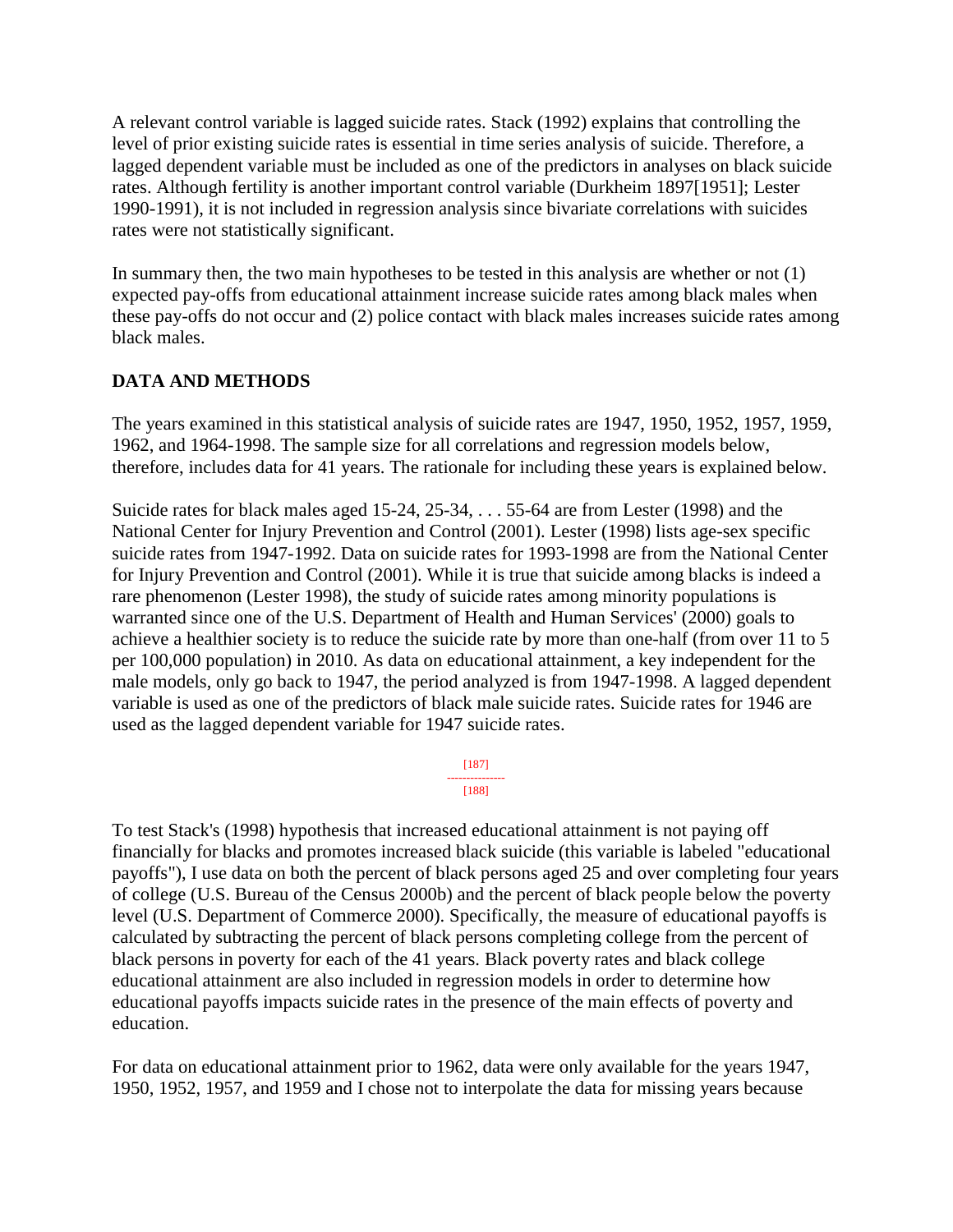A relevant control variable is lagged suicide rates. Stack (1992) explains that controlling the level of prior existing suicide rates is essential in time series analysis of suicide. Therefore, a lagged dependent variable must be included as one of the predictors in analyses on black suicide rates. Although fertility is another important control variable (Durkheim 1897[1951]; Lester 1990-1991), it is not included in regression analysis since bivariate correlations with suicides rates were not statistically significant.

In summary then, the two main hypotheses to be tested in this analysis are whether or not (1) expected pay-offs from educational attainment increase suicide rates among black males when these pay-offs do not occur and (2) police contact with black males increases suicide rates among black males.

# **DATA AND METHODS**

The years examined in this statistical analysis of suicide rates are 1947, 1950, 1952, 1957, 1959, 1962, and 1964-1998. The sample size for all correlations and regression models below, therefore, includes data for 41 years. The rationale for including these years is explained below.

Suicide rates for black males aged 15-24, 25-34, . . . 55-64 are from Lester (1998) and the National Center for Injury Prevention and Control (2001). Lester (1998) lists age-sex specific suicide rates from 1947-1992. Data on suicide rates for 1993-1998 are from the National Center for Injury Prevention and Control (2001). While it is true that suicide among blacks is indeed a rare phenomenon (Lester 1998), the study of suicide rates among minority populations is warranted since one of the U.S. Department of Health and Human Services' (2000) goals to achieve a healthier society is to reduce the suicide rate by more than one-half (from over 11 to 5 per 100,000 population) in 2010. As data on educational attainment, a key independent for the male models, only go back to 1947, the period analyzed is from 1947-1998. A lagged dependent variable is used as one of the predictors of black male suicide rates. Suicide rates for 1946 are used as the lagged dependent variable for 1947 suicide rates.

> [187] --------------- [188]

To test Stack's (1998) hypothesis that increased educational attainment is not paying off financially for blacks and promotes increased black suicide (this variable is labeled "educational payoffs"), I use data on both the percent of black persons aged 25 and over completing four years of college (U.S. Bureau of the Census 2000b) and the percent of black people below the poverty level (U.S. Department of Commerce 2000). Specifically, the measure of educational payoffs is calculated by subtracting the percent of black persons completing college from the percent of black persons in poverty for each of the 41 years. Black poverty rates and black college educational attainment are also included in regression models in order to determine how educational payoffs impacts suicide rates in the presence of the main effects of poverty and education.

For data on educational attainment prior to 1962, data were only available for the years 1947, 1950, 1952, 1957, and 1959 and I chose not to interpolate the data for missing years because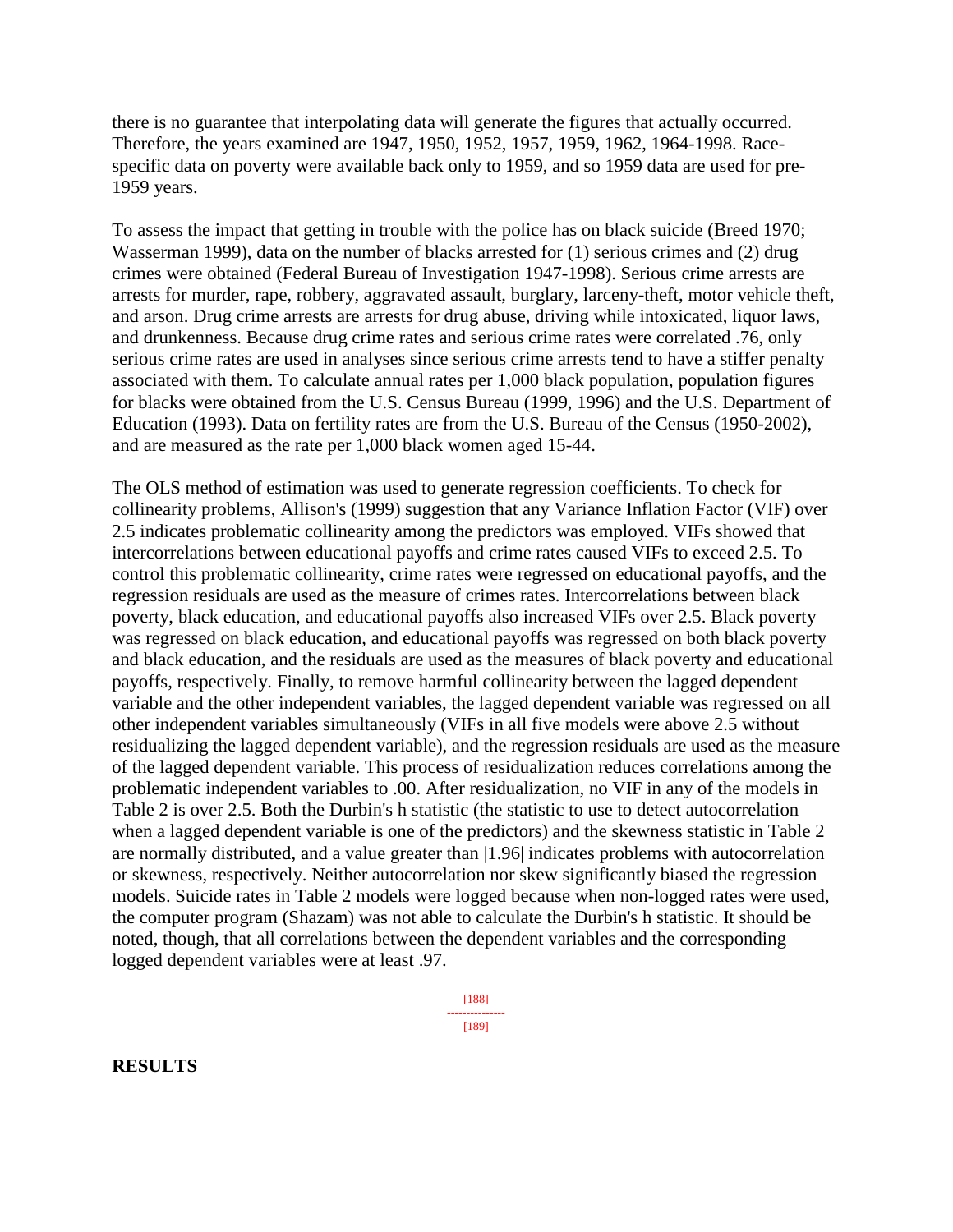there is no guarantee that interpolating data will generate the figures that actually occurred. Therefore, the years examined are 1947, 1950, 1952, 1957, 1959, 1962, 1964-1998. Racespecific data on poverty were available back only to 1959, and so 1959 data are used for pre-1959 years.

To assess the impact that getting in trouble with the police has on black suicide (Breed 1970; Wasserman 1999), data on the number of blacks arrested for (1) serious crimes and (2) drug crimes were obtained (Federal Bureau of Investigation 1947-1998). Serious crime arrests are arrests for murder, rape, robbery, aggravated assault, burglary, larceny-theft, motor vehicle theft, and arson. Drug crime arrests are arrests for drug abuse, driving while intoxicated, liquor laws, and drunkenness. Because drug crime rates and serious crime rates were correlated .76, only serious crime rates are used in analyses since serious crime arrests tend to have a stiffer penalty associated with them. To calculate annual rates per 1,000 black population, population figures for blacks were obtained from the U.S. Census Bureau (1999, 1996) and the U.S. Department of Education (1993). Data on fertility rates are from the U.S. Bureau of the Census (1950-2002), and are measured as the rate per 1,000 black women aged 15-44.

The OLS method of estimation was used to generate regression coefficients. To check for collinearity problems, Allison's (1999) suggestion that any Variance Inflation Factor (VIF) over 2.5 indicates problematic collinearity among the predictors was employed. VIFs showed that intercorrelations between educational payoffs and crime rates caused VIFs to exceed 2.5. To control this problematic collinearity, crime rates were regressed on educational payoffs, and the regression residuals are used as the measure of crimes rates. Intercorrelations between black poverty, black education, and educational payoffs also increased VIFs over 2.5. Black poverty was regressed on black education, and educational payoffs was regressed on both black poverty and black education, and the residuals are used as the measures of black poverty and educational payoffs, respectively. Finally, to remove harmful collinearity between the lagged dependent variable and the other independent variables, the lagged dependent variable was regressed on all other independent variables simultaneously (VIFs in all five models were above 2.5 without residualizing the lagged dependent variable), and the regression residuals are used as the measure of the lagged dependent variable. This process of residualization reduces correlations among the problematic independent variables to .00. After residualization, no VIF in any of the models in Table 2 is over 2.5. Both the Durbin's h statistic (the statistic to use to detect autocorrelation when a lagged dependent variable is one of the predictors) and the skewness statistic in Table 2 are normally distributed, and a value greater than |1.96| indicates problems with autocorrelation or skewness, respectively. Neither autocorrelation nor skew significantly biased the regression models. Suicide rates in Table 2 models were logged because when non-logged rates were used, the computer program (Shazam) was not able to calculate the Durbin's h statistic. It should be noted, though, that all correlations between the dependent variables and the corresponding logged dependent variables were at least .97.

> [188] --------------- [189]

**RESULTS**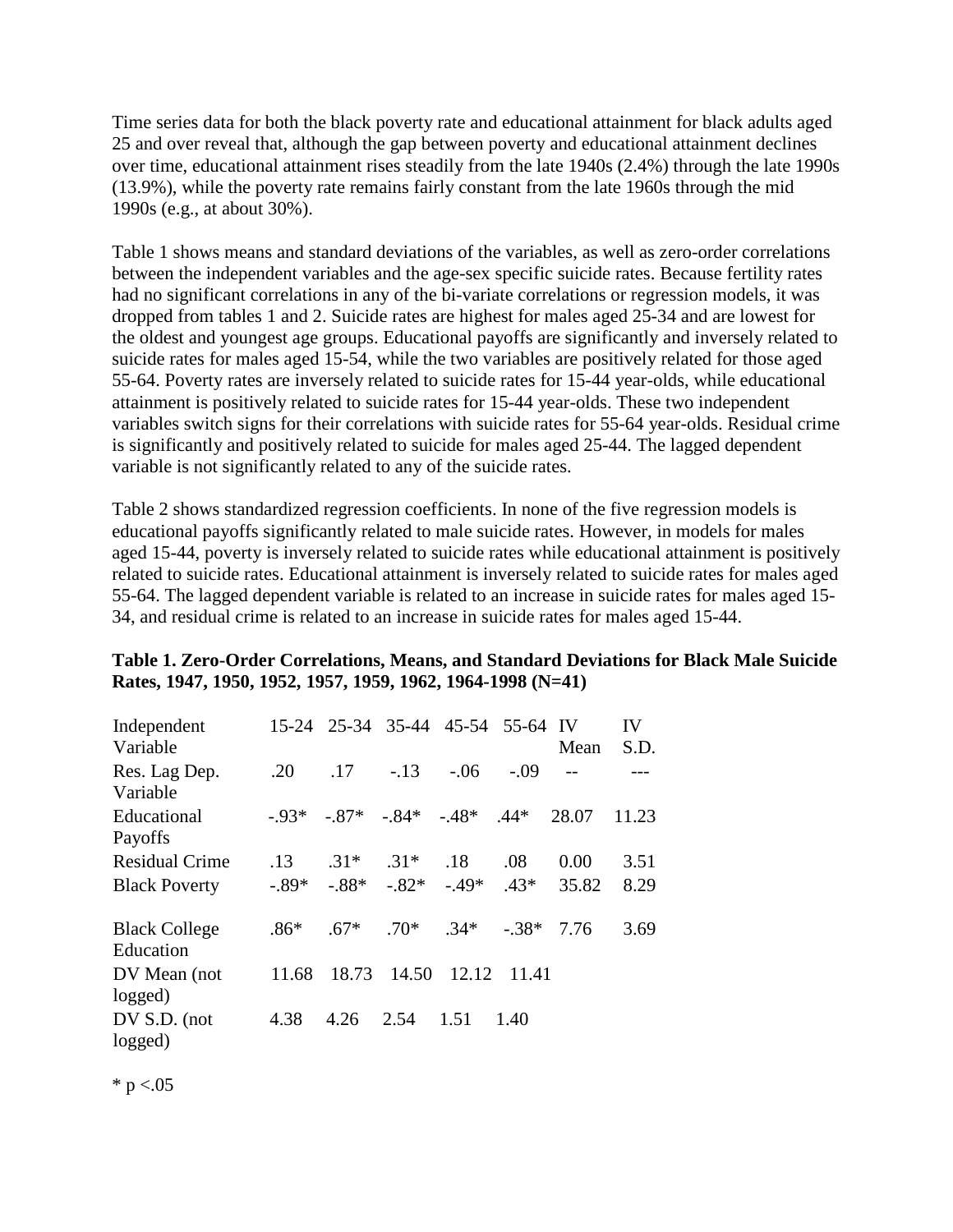Time series data for both the black poverty rate and educational attainment for black adults aged 25 and over reveal that, although the gap between poverty and educational attainment declines over time, educational attainment rises steadily from the late 1940s (2.4%) through the late 1990s (13.9%), while the poverty rate remains fairly constant from the late 1960s through the mid 1990s (e.g., at about 30%).

Table 1 shows means and standard deviations of the variables, as well as zero-order correlations between the independent variables and the age-sex specific suicide rates. Because fertility rates had no significant correlations in any of the bi-variate correlations or regression models, it was dropped from tables 1 and 2. Suicide rates are highest for males aged 25-34 and are lowest for the oldest and youngest age groups. Educational payoffs are significantly and inversely related to suicide rates for males aged 15-54, while the two variables are positively related for those aged 55-64. Poverty rates are inversely related to suicide rates for 15-44 year-olds, while educational attainment is positively related to suicide rates for 15-44 year-olds. These two independent variables switch signs for their correlations with suicide rates for 55-64 year-olds. Residual crime is significantly and positively related to suicide for males aged 25-44. The lagged dependent variable is not significantly related to any of the suicide rates.

Table 2 shows standardized regression coefficients. In none of the five regression models is educational payoffs significantly related to male suicide rates. However, in models for males aged 15-44, poverty is inversely related to suicide rates while educational attainment is positively related to suicide rates. Educational attainment is inversely related to suicide rates for males aged 55-64. The lagged dependent variable is related to an increase in suicide rates for males aged 15- 34, and residual crime is related to an increase in suicide rates for males aged 15-44.

### **Table 1. Zero-Order Correlations, Means, and Standard Deviations for Black Male Suicide Rates, 1947, 1950, 1952, 1957, 1959, 1962, 1964-1998 (N=41)**

| Independent           |         |         |                               | 15-24 25-34 35-44 45-54 | 55-64 IV |       | IV    |
|-----------------------|---------|---------|-------------------------------|-------------------------|----------|-------|-------|
| Variable              |         |         |                               |                         |          | Mean  | S.D.  |
| Res. Lag Dep.         | .20     | .17     | $-.13$                        | $-.06$                  | $-.09$   |       |       |
| Variable              |         |         |                               |                         |          |       |       |
| Educational           | $-93*$  |         | $-0.87^*$ $-0.84^*$ $-0.48^*$ |                         | $.44*$   | 28.07 | 11.23 |
| Payoffs               |         |         |                               |                         |          |       |       |
| <b>Residual Crime</b> | .13     | $.31*$  | $.31*$                        | .18                     | .08      | 0.00  | 3.51  |
| <b>Black Poverty</b>  | $-.89*$ | $-.88*$ | $-.82*-.49*$                  |                         | $.43*$   | 35.82 | 8.29  |
| <b>Black College</b>  | $.86*$  | $.67*$  | $.70*$ $.34*$                 |                         | $-.38*$  | 7.76  | 3.69  |
| Education             |         |         |                               |                         |          |       |       |
| DV Mean (not          | 11.68   | 18.73   | 14.50                         | 12.12                   | 11.41    |       |       |
| logged)               |         |         |                               |                         |          |       |       |
| DV S.D. (not          | 4.38    | 4.26    | 2.54                          | 1.51                    | 1.40     |       |       |
| logged)               |         |         |                               |                         |          |       |       |

 $*$  p <.05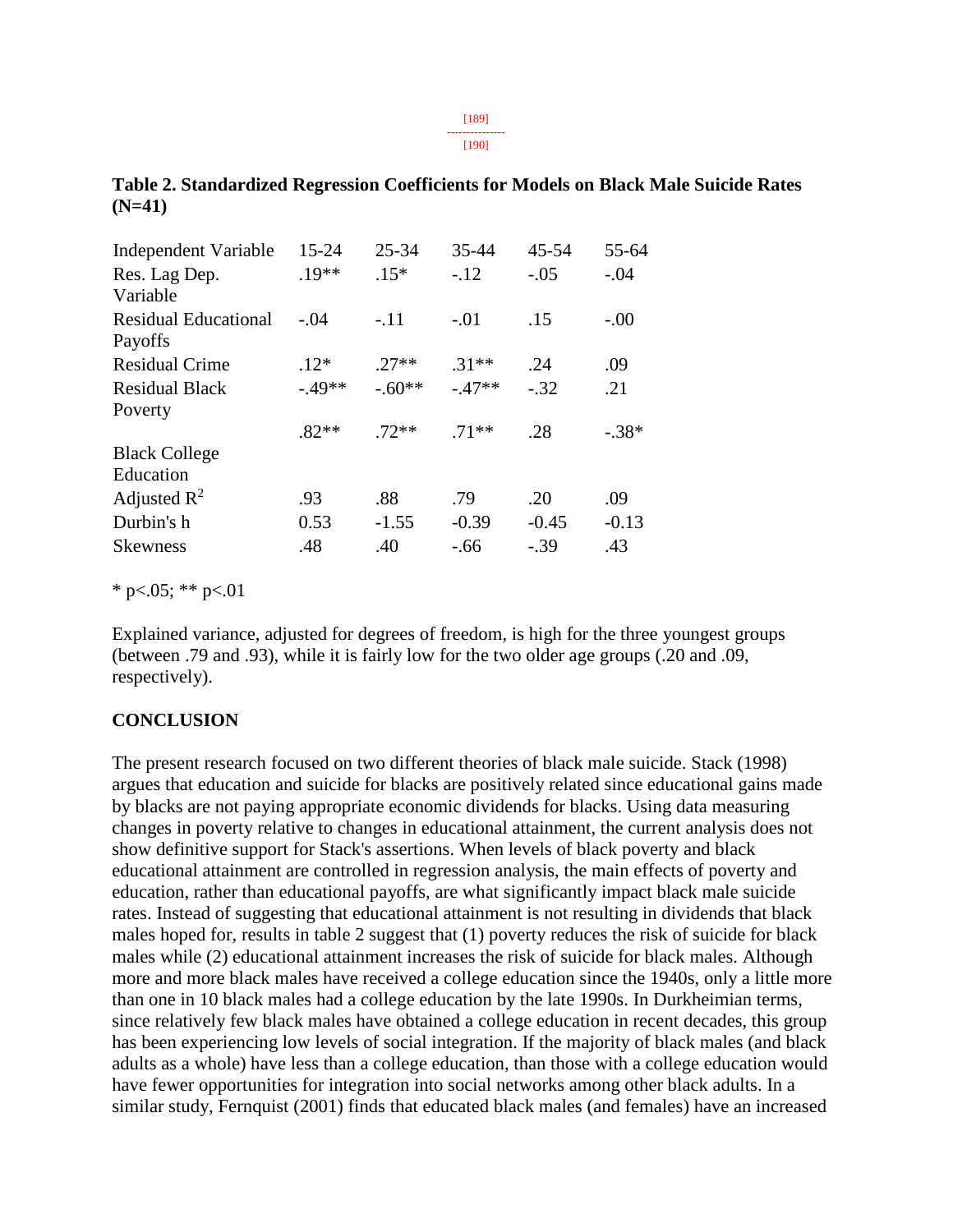[189]

--------------- [190]

| Independent Variable        | $15 - 24$ | $25 - 34$ | 35-44   | $45 - 54$ | 55-64   |
|-----------------------------|-----------|-----------|---------|-----------|---------|
| Res. Lag Dep.               | $.19**$   | $.15*$    | $-.12$  | $-.05$    | $-.04$  |
| Variable                    |           |           |         |           |         |
| <b>Residual Educational</b> | $-.04$    | $-.11$    | $-.01$  | .15       | $-.00$  |
| Payoffs                     |           |           |         |           |         |
| <b>Residual Crime</b>       | $.12*$    | $27**$    | $.31**$ | .24       | .09     |
| <b>Residual Black</b>       | $-49**$   | $-.60**$  | $-47**$ | $-.32$    | .21     |
| Poverty                     |           |           |         |           |         |
|                             | $.82**$   | $.72**$   | $.71**$ | .28       | $-.38*$ |
| <b>Black College</b>        |           |           |         |           |         |
| Education                   |           |           |         |           |         |
| Adjusted $\mathbb{R}^2$     | .93       | .88       | .79     | .20       | .09     |
| Durbin's h                  | 0.53      | $-1.55$   | $-0.39$ | $-0.45$   | $-0.13$ |
| <b>Skewness</b>             | .48       | .40       | $-66$   | $-.39$    | .43     |

**Table 2. Standardized Regression Coefficients for Models on Black Male Suicide Rates (N=41)** 

\* p<.05; \*\* p<.01

Explained variance, adjusted for degrees of freedom, is high for the three youngest groups (between .79 and .93), while it is fairly low for the two older age groups (.20 and .09, respectively).

# **CONCLUSION**

The present research focused on two different theories of black male suicide. Stack (1998) argues that education and suicide for blacks are positively related since educational gains made by blacks are not paying appropriate economic dividends for blacks. Using data measuring changes in poverty relative to changes in educational attainment, the current analysis does not show definitive support for Stack's assertions. When levels of black poverty and black educational attainment are controlled in regression analysis, the main effects of poverty and education, rather than educational payoffs, are what significantly impact black male suicide rates. Instead of suggesting that educational attainment is not resulting in dividends that black males hoped for, results in table 2 suggest that (1) poverty reduces the risk of suicide for black males while (2) educational attainment increases the risk of suicide for black males. Although more and more black males have received a college education since the 1940s, only a little more than one in 10 black males had a college education by the late 1990s. In Durkheimian terms, since relatively few black males have obtained a college education in recent decades, this group has been experiencing low levels of social integration. If the majority of black males (and black adults as a whole) have less than a college education, than those with a college education would have fewer opportunities for integration into social networks among other black adults. In a similar study, Fernquist (2001) finds that educated black males (and females) have an increased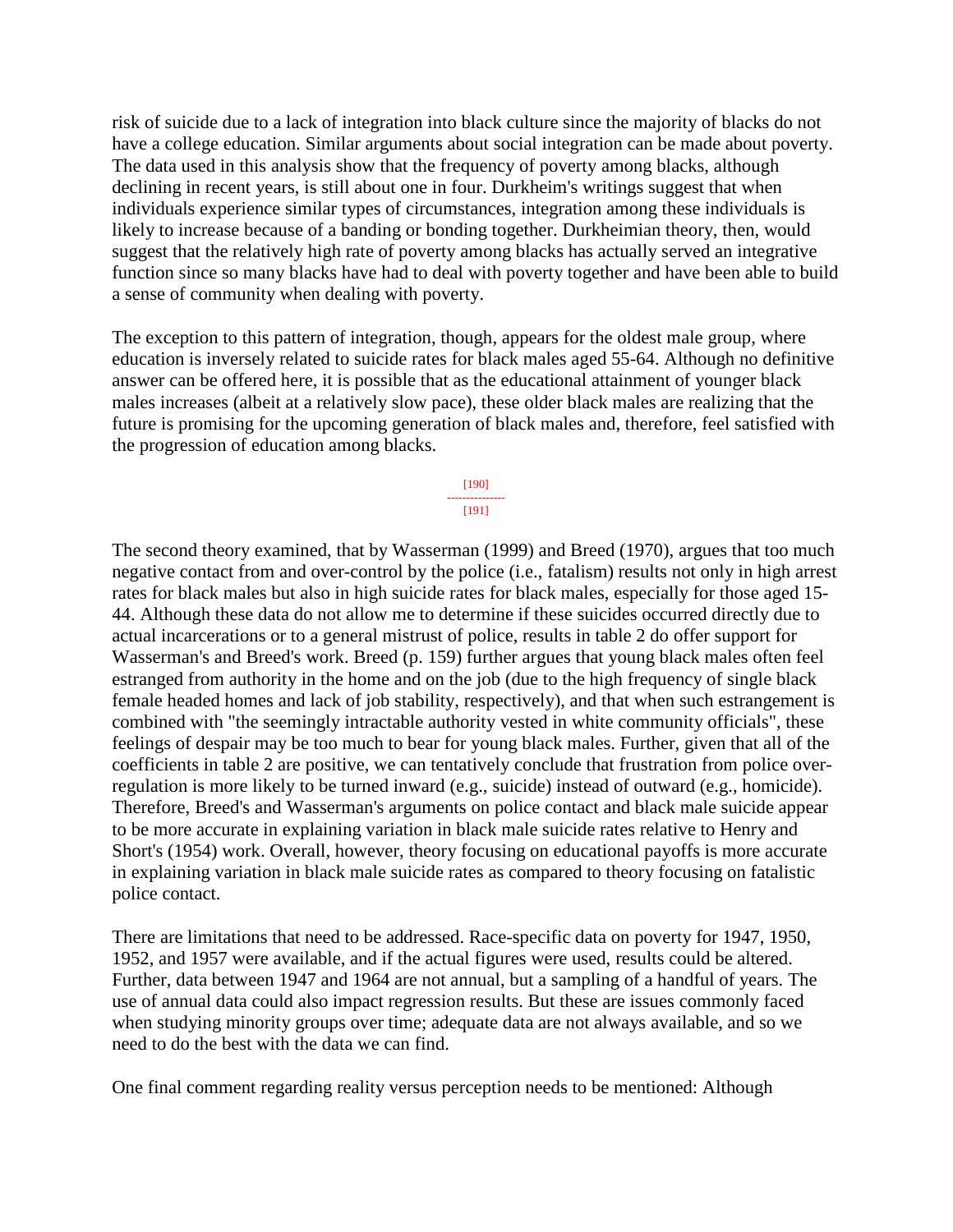risk of suicide due to a lack of integration into black culture since the majority of blacks do not have a college education. Similar arguments about social integration can be made about poverty. The data used in this analysis show that the frequency of poverty among blacks, although declining in recent years, is still about one in four. Durkheim's writings suggest that when individuals experience similar types of circumstances, integration among these individuals is likely to increase because of a banding or bonding together. Durkheimian theory, then, would suggest that the relatively high rate of poverty among blacks has actually served an integrative function since so many blacks have had to deal with poverty together and have been able to build a sense of community when dealing with poverty.

The exception to this pattern of integration, though, appears for the oldest male group, where education is inversely related to suicide rates for black males aged 55-64. Although no definitive answer can be offered here, it is possible that as the educational attainment of younger black males increases (albeit at a relatively slow pace), these older black males are realizing that the future is promising for the upcoming generation of black males and, therefore, feel satisfied with the progression of education among blacks.

> [190] --------------- [191]

The second theory examined, that by Wasserman (1999) and Breed (1970), argues that too much negative contact from and over-control by the police (i.e., fatalism) results not only in high arrest rates for black males but also in high suicide rates for black males, especially for those aged 15- 44. Although these data do not allow me to determine if these suicides occurred directly due to actual incarcerations or to a general mistrust of police, results in table 2 do offer support for Wasserman's and Breed's work. Breed (p. 159) further argues that young black males often feel estranged from authority in the home and on the job (due to the high frequency of single black female headed homes and lack of job stability, respectively), and that when such estrangement is combined with "the seemingly intractable authority vested in white community officials", these feelings of despair may be too much to bear for young black males. Further, given that all of the coefficients in table 2 are positive, we can tentatively conclude that frustration from police overregulation is more likely to be turned inward (e.g., suicide) instead of outward (e.g., homicide). Therefore, Breed's and Wasserman's arguments on police contact and black male suicide appear to be more accurate in explaining variation in black male suicide rates relative to Henry and Short's (1954) work. Overall, however, theory focusing on educational payoffs is more accurate in explaining variation in black male suicide rates as compared to theory focusing on fatalistic police contact.

There are limitations that need to be addressed. Race-specific data on poverty for 1947, 1950, 1952, and 1957 were available, and if the actual figures were used, results could be altered. Further, data between 1947 and 1964 are not annual, but a sampling of a handful of years. The use of annual data could also impact regression results. But these are issues commonly faced when studying minority groups over time; adequate data are not always available, and so we need to do the best with the data we can find.

One final comment regarding reality versus perception needs to be mentioned: Although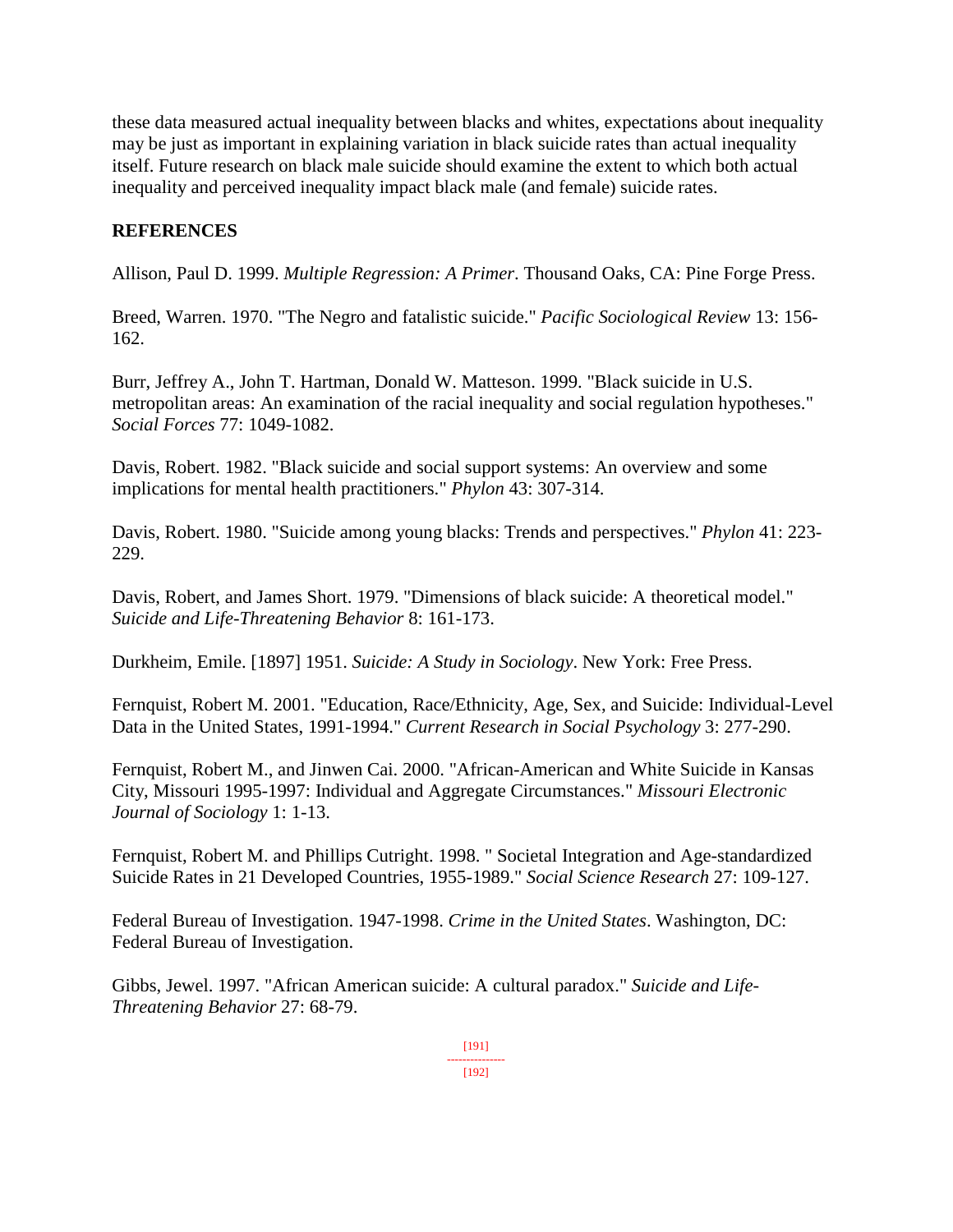these data measured actual inequality between blacks and whites, expectations about inequality may be just as important in explaining variation in black suicide rates than actual inequality itself. Future research on black male suicide should examine the extent to which both actual inequality and perceived inequality impact black male (and female) suicide rates.

# **REFERENCES**

Allison, Paul D. 1999. *Multiple Regression: A Primer*. Thousand Oaks, CA: Pine Forge Press.

Breed, Warren. 1970. "The Negro and fatalistic suicide." *Pacific Sociological Review* 13: 156- 162.

Burr, Jeffrey A., John T. Hartman, Donald W. Matteson. 1999. "Black suicide in U.S. metropolitan areas: An examination of the racial inequality and social regulation hypotheses." *Social Forces* 77: 1049-1082.

Davis, Robert. 1982. "Black suicide and social support systems: An overview and some implications for mental health practitioners." *Phylon* 43: 307-314.

Davis, Robert. 1980. "Suicide among young blacks: Trends and perspectives." *Phylon* 41: 223- 229.

Davis, Robert, and James Short. 1979. "Dimensions of black suicide: A theoretical model." *Suicide and Life-Threatening Behavior* 8: 161-173.

Durkheim, Emile. [1897] 1951. *Suicide: A Study in Sociology*. New York: Free Press.

Fernquist, Robert M. 2001. "Education, Race/Ethnicity, Age, Sex, and Suicide: Individual-Level Data in the United States, 1991-1994." *Current Research in Social Psychology* 3: 277-290.

Fernquist, Robert M., and Jinwen Cai. 2000. "African-American and White Suicide in Kansas City, Missouri 1995-1997: Individual and Aggregate Circumstances." *Missouri Electronic Journal of Sociology* 1: 1-13.

Fernquist, Robert M. and Phillips Cutright. 1998. " Societal Integration and Age-standardized Suicide Rates in 21 Developed Countries, 1955-1989." *Social Science Research* 27: 109-127.

Federal Bureau of Investigation. 1947-1998. *Crime in the United States*. Washington, DC: Federal Bureau of Investigation.

Gibbs, Jewel. 1997. "African American suicide: A cultural paradox." *Suicide and Life-Threatening Behavior* 27: 68-79.

> [191] --------------- [192]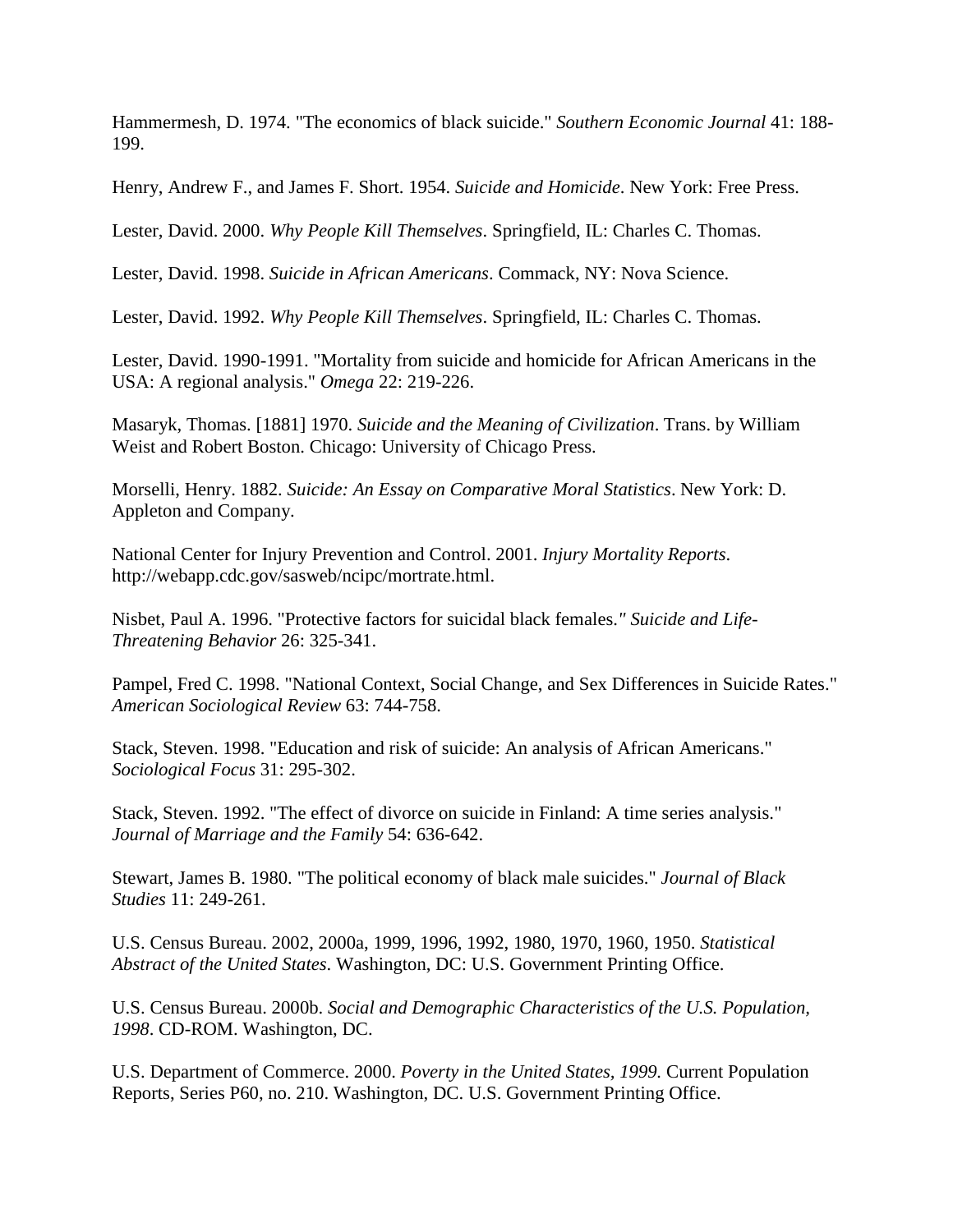Hammermesh, D. 1974. "The economics of black suicide." *Southern Economic Journal* 41: 188- 199.

Henry, Andrew F., and James F. Short. 1954. *Suicide and Homicide*. New York: Free Press.

Lester, David. 2000. *Why People Kill Themselves*. Springfield, IL: Charles C. Thomas.

Lester, David. 1998. *Suicide in African Americans*. Commack, NY: Nova Science.

Lester, David. 1992. *Why People Kill Themselves*. Springfield, IL: Charles C. Thomas.

Lester, David. 1990-1991. "Mortality from suicide and homicide for African Americans in the USA: A regional analysis." *Omega* 22: 219-226.

Masaryk, Thomas. [1881] 1970. *Suicide and the Meaning of Civilization*. Trans. by William Weist and Robert Boston. Chicago: University of Chicago Press.

Morselli, Henry. 1882. *Suicide: An Essay on Comparative Moral Statistics*. New York: D. Appleton and Company.

National Center for Injury Prevention and Control. 2001. *Injury Mortality Reports*. http://webapp.cdc.gov/sasweb/ncipc/mortrate.html.

Nisbet, Paul A. 1996. "Protective factors for suicidal black females.*" Suicide and Life-Threatening Behavior* 26: 325-341.

Pampel, Fred C. 1998. "National Context, Social Change, and Sex Differences in Suicide Rates." *American Sociological Review* 63: 744-758.

Stack, Steven. 1998. "Education and risk of suicide: An analysis of African Americans." *Sociological Focus* 31: 295-302.

Stack, Steven. 1992. "The effect of divorce on suicide in Finland: A time series analysis." *Journal of Marriage and the Family* 54: 636-642.

Stewart, James B. 1980. "The political economy of black male suicides." *Journal of Black Studies* 11: 249-261.

U.S. Census Bureau. 2002, 2000a, 1999, 1996, 1992, 1980, 1970, 1960, 1950. *Statistical Abstract of the United States*. Washington, DC: U.S. Government Printing Office.

U.S. Census Bureau. 2000b. *Social and Demographic Characteristics of the U.S. Population, 1998*. CD-ROM. Washington, DC.

U.S. Department of Commerce. 2000. *Poverty in the United States, 1999.* Current Population Reports, Series P60, no. 210. Washington, DC. U.S. Government Printing Office.